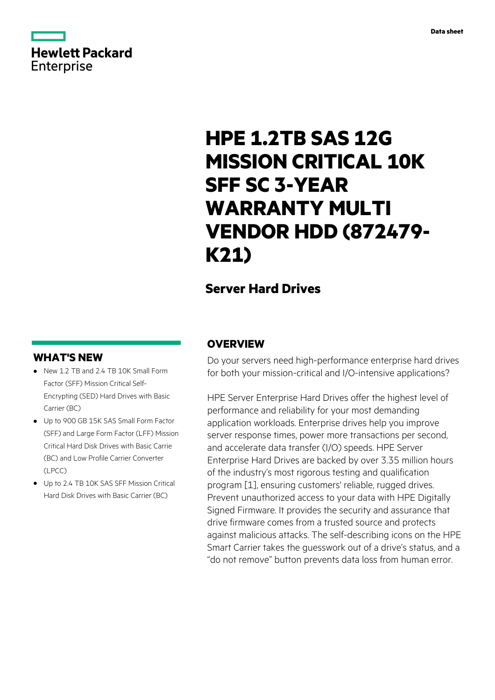# **Hewlett Packard** Enterprise

# **HPE 1.2TB SAS 12G MISSION CRITICAL 10K SFF SC 3-YEAR WARRANTY MULTI VENDOR HDD (872479- K21)**

# **Server Hard Drives**

### **WHAT'S NEW**

- **·** New 1.2 TB and 2.4 TB 10K Small Form Factor (SFF) Mission Critical Self-Encrypting (SED) Hard Drives with Basic Carrier (BC)
- **·** Up to 900 GB 15K SAS Small Form Factor (SFF) and Large Form Factor (LFF) Mission Critical Hard Disk Drives with Basic Carrie (BC) and Low Profile Carrier Converter (LPCC)
- **·** Up to 2.4 TB 10K SAS SFF Mission Critical Hard Disk Drives with Basic Carrier (BC)

### **OVERVIEW**

Do your servers need high-performance enterprise hard drives for both your mission-critical and I/O-intensive applications?

HPE Server Enterprise Hard Drives offer the highest level of performance and reliability for your most demanding application workloads. Enterprise drives help you improve server response times, power more transactions per second, and accelerate data transfer (I/O) speeds. HPE Server Enterprise Hard Drives are backed by over 3.35 million hours of the industry's most rigorous testing and qualification program [1], ensuring customers' reliable, rugged drives. Prevent unauthorized access to your data with HPE Digitally Signed Firmware. It provides the security and assurance that drive firmware comes from a trusted source and protects against malicious attacks. The self-describing icons on the HPE Smart Carrier takes the guesswork out of a drive's status, and a "do not remove" button prevents data loss from human error.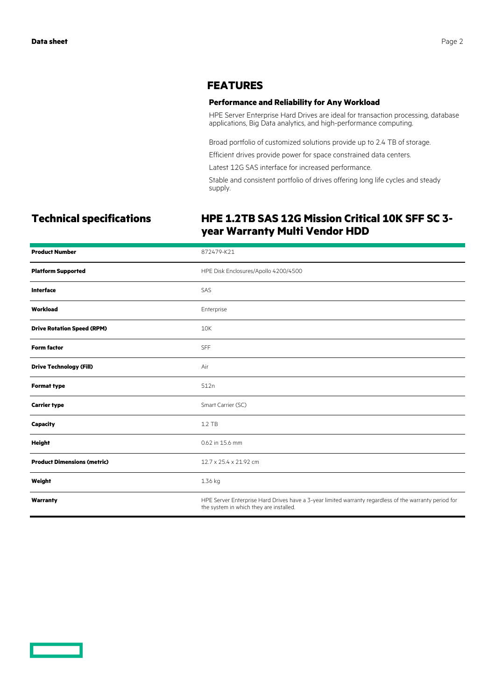### **FEATURES**

### **Performance and Reliability for Any Workload**

HPE Server Enterprise Hard Drives are ideal for transaction processing, database applications, Big Data analytics, and high-performance computing.

Broad portfolio of customized solutions provide up to 2.4 TB of storage.

Efficient drives provide power for space constrained data centers.

Latest 12G SAS interface for increased performance.

Stable and consistent portfolio of drives offering long life cycles and steady supply.

## **Technical specifications HPE 1.2TB SAS 12G Mission Critical 10K SFF SC 3 year Warranty Multi Vendor HDD**

| <b>Product Number</b>              | 872479-K21                                                                                                                                        |
|------------------------------------|---------------------------------------------------------------------------------------------------------------------------------------------------|
| <b>Platform Supported</b>          | HPE Disk Enclosures/Apollo 4200/4500                                                                                                              |
| Interface                          | SAS                                                                                                                                               |
| Workload                           | Enterprise                                                                                                                                        |
| <b>Drive Rotation Speed (RPM)</b>  | 10K                                                                                                                                               |
| <b>Form factor</b>                 | <b>SFF</b>                                                                                                                                        |
| <b>Drive Technology (Fill)</b>     | Air                                                                                                                                               |
| <b>Format type</b>                 | 512n                                                                                                                                              |
| <b>Carrier type</b>                | Smart Carrier (SC)                                                                                                                                |
| Capacity                           | 1.2 TB                                                                                                                                            |
| <b>Height</b>                      | 0.62 in 15.6 mm                                                                                                                                   |
| <b>Product Dimensions (metric)</b> | 12.7 x 25.4 x 21.92 cm                                                                                                                            |
| Weight                             | 1.36 kg                                                                                                                                           |
| Warranty                           | HPE Server Enterprise Hard Drives have a 3-year limited warranty regardless of the warranty period for<br>the system in which they are installed. |